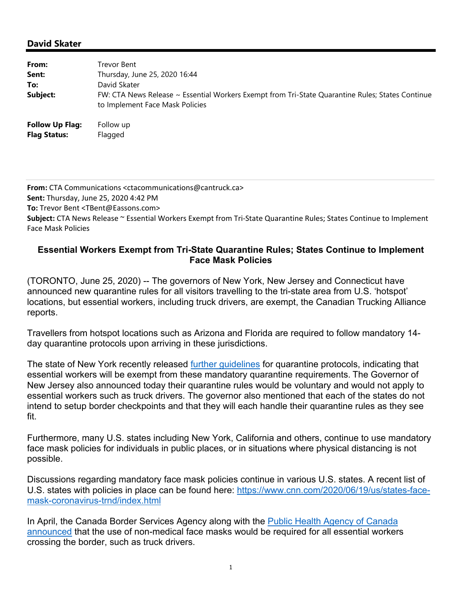## **David Skater**

| From:                                         | Trevor Bent                                                                                                                         |
|-----------------------------------------------|-------------------------------------------------------------------------------------------------------------------------------------|
| Sent:                                         | Thursday, June 25, 2020 16:44                                                                                                       |
| To:                                           | David Skater                                                                                                                        |
| Subject:                                      | FW: CTA News Release ~ Essential Workers Exempt from Tri-State Quarantine Rules; States Continue<br>to Implement Face Mask Policies |
| <b>Follow Up Flag:</b><br><b>Flag Status:</b> | Follow up<br>Flagged                                                                                                                |

**From:** CTA Communications <ctacommunications@cantruck.ca> **Sent:** Thursday, June 25, 2020 4:42 PM **To:** Trevor Bent <TBent@Eassons.com> **Subject:** CTA News Release ~ Essential Workers Exempt from Tri‐State Quarantine Rules; States Continue to Implement Face Mask Policies

## **Essential Workers Exempt from Tri-State Quarantine Rules; States Continue to Implement Face Mask Policies**

(TORONTO, June 25, 2020) -- The governors of New York, New Jersey and Connecticut have announced new quarantine rules for all visitors travelling to the tri-state area from U.S. 'hotspot' locations, but essential workers, including truck drivers, are exempt, the Canadian Trucking Alliance reports.

Travellers from hotspot locations such as Arizona and Florida are required to follow mandatory 14 day quarantine protocols upon arriving in these jurisdictions.

The state of New York recently released further guidelines for quarantine protocols, indicating that essential workers will be exempt from these mandatory quarantine requirements. The Governor of New Jersey also announced today their quarantine rules would be voluntary and would not apply to essential workers such as truck drivers. The governor also mentioned that each of the states do not intend to setup border checkpoints and that they will each handle their quarantine rules as they see fit.

Furthermore, many U.S. states including New York, California and others, continue to use mandatory face mask policies for individuals in public places, or in situations where physical distancing is not possible.

Discussions regarding mandatory face mask policies continue in various U.S. states. A recent list of U.S. states with policies in place can be found here: https://www.cnn.com/2020/06/19/us/states-facemask-coronavirus-trnd/index.html

In April, the Canada Border Services Agency along with the Public Health Agency of Canada announced that the use of non-medical face masks would be required for all essential workers crossing the border, such as truck drivers.